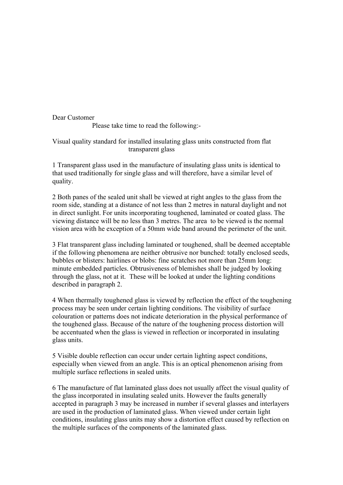Dear Customer

Please take time to read the following:-

## Visual quality standard for installed insulating glass units constructed from flat transparent glass

1 Transparent glass used in the manufacture of insulating glass units is identical to that used traditionally for single glass and will therefore, have a similar level of quality.

2 Both panes of the sealed unit shall be viewed at right angles to the glass from the room side, standing at a distance of not less than 2 metres in natural daylight and not in direct sunlight. For units incorporating toughened, laminated or coated glass. The viewing distance will be no less than 3 metres. The area to be viewed is the normal vision area with he exception of a 50mm wide band around the perimeter of the unit.

3 Flat transparent glass including laminated or toughened, shall be deemed acceptable if the following phenomena are neither obtrusive nor bunched: totally enclosed seeds, bubbles or blisters: hairlines or blobs: fine scratches not more than 25mm long: minute embedded particles. Obtrusiveness of blemishes shall be judged by looking through the glass, not at it. These will be looked at under the lighting conditions described in paragraph 2.

4 When thermally toughened glass is viewed by reflection the effect of the toughening process may be seen under certain lighting conditions. The visibility of surface colouration or patterns does not indicate deterioration in the physical performance of the toughened glass. Because of the nature of the toughening process distortion will be accentuated when the glass is viewed in reflection or incorporated in insulating glass units.

5 Visible double reflection can occur under certain lighting aspect conditions, especially when viewed from an angle. This is an optical phenomenon arising from multiple surface reflections in sealed units.

6 The manufacture of flat laminated glass does not usually affect the visual quality of the glass incorporated in insulating sealed units. However the faults generally accepted in paragraph 3 may be increased in number if several glasses and interlayers are used in the production of laminated glass. When viewed under certain light conditions, insulating glass units may show a distortion effect caused by reflection on the multiple surfaces of the components of the laminated glass.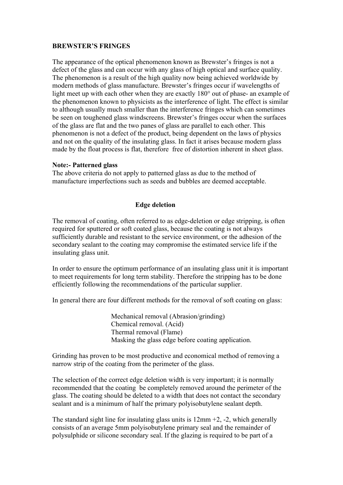## **BREWSTER'S FRINGES**

The appearance of the optical phenomenon known as Brewster's fringes is not a defect of the glass and can occur with any glass of high optical and surface quality. The phenomenon is a result of the high quality now being achieved worldwide by modern methods of glass manufacture. Brewster's fringes occur if wavelengths of light meet up with each other when they are exactly 180° out of phase- an example of the phenomenon known to physicists as the interference of light. The effect is similar to although usually much smaller than the interference fringes which can sometimes be seen on toughened glass windscreens. Brewster's fringes occur when the surfaces of the glass are flat and the two panes of glass are parallel to each other. This phenomenon is not a defect of the product, being dependent on the laws of physics and not on the quality of the insulating glass. In fact it arises because modern glass made by the float process is flat, therefore free of distortion inherent in sheet glass.

## **Note:- Patterned glass**

The above criteria do not apply to patterned glass as due to the method of manufacture imperfections such as seeds and bubbles are deemed acceptable.

## **Edge deletion**

The removal of coating, often referred to as edge-deletion or edge stripping, is often required for sputtered or soft coated glass, because the coating is not always sufficiently durable and resistant to the service environment, or the adhesion of the secondary sealant to the coating may compromise the estimated service life if the insulating glass unit.

In order to ensure the optimum performance of an insulating glass unit it is important to meet requirements for long term stability. Therefore the stripping has to be done efficiently following the recommendations of the particular supplier.

In general there are four different methods for the removal of soft coating on glass:

 Mechanical removal (Abrasion/grinding) Chemical removal. (Acid) Thermal removal (Flame) Masking the glass edge before coating application.

Grinding has proven to be most productive and economical method of removing a narrow strip of the coating from the perimeter of the glass.

The selection of the correct edge deletion width is very important; it is normally recommended that the coating be completely removed around the perimeter of the glass. The coating should be deleted to a width that does not contact the secondary sealant and is a minimum of half the primary polyisobutylene sealant depth.

The standard sight line for insulating glass units is  $12 \text{mm} +2$ ,  $-2$ , which generally consists of an average 5mm polyisobutylene primary seal and the remainder of polysulphide or silicone secondary seal. If the glazing is required to be part of a